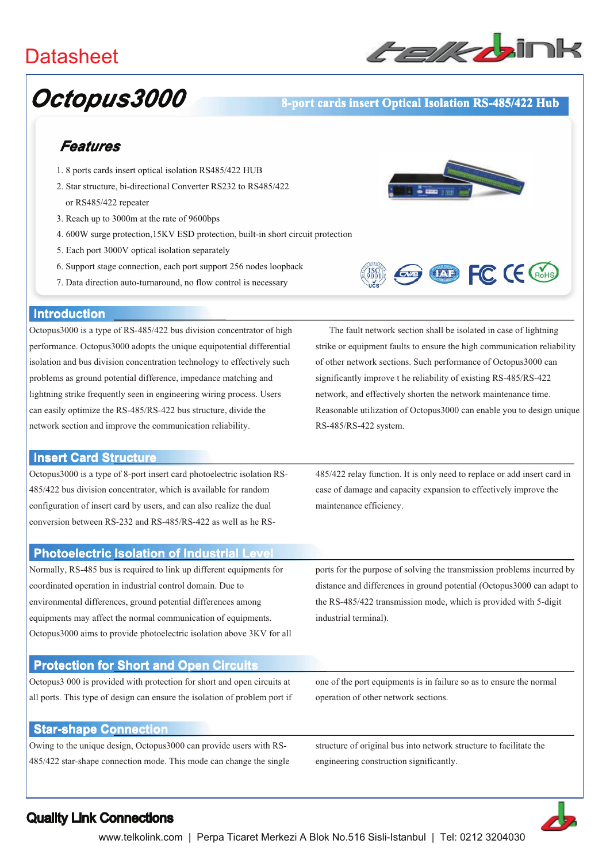## **Datasheet**



# Octopus3000

#### 8-port cards insert Optical Isolation RS-485/422 Hub

### Features

- 1.8 ports cards insert optical isolation RS485/422 HUB
- 2. Star structure, bi-directional Converter RS232 to RS485/422 or RS485/422 repeater
- 3. Reach up to 3000m at the rate of 9600bps
- 4. 600W surge protection, 15KV ESD protection, built-in short circuit protection
- 5. Each port 3000V optical isolation separately
- 6. Support stage connection, each port support 256 nodes loopback
- 7. Data direction auto-turnaround, no flow control is necessary





#### **Introduction**

Octopus3000 is a type of RS-485/422 bus division concentrator of high performance. Octopus3000 adopts the unique equipotential differential isolation and bus division concentration technology to effectively such problems as ground potential difference, impedance matching and lightning strike frequently seen in engineering wiring process. Users can easily optimize the RS-485/RS-422 bus structure, divide the network section and improve the communication reliability.

#### **Insert Card Structure**

Octopus 3000 is a type of 8-port insert card photoelectric isolation RS-485/422 bus division concentrator, which is available for random configuration of insert card by users, and can also realize the dual conversion between RS-232 and RS-485/RS-422 as well as he RS-

The fault network section shall be isolated in case of lightning strike or equipment faults to ensure the high communication reliability of other network sections. Such performance of Octopus3000 can significantly improve the reliability of existing RS-485/RS-422 network, and effectively shorten the network maintenance time. Reasonable utilization of Octopus 3000 can enable you to design unique RS-485/RS-422 system.

485/422 relay function. It is only need to replace or add insert card in case of damage and capacity expansion to effectively improve the maintenance efficiency.

#### **Photoelectric Isolation of Industrial Leve**

Normally, RS-485 bus is required to link up different equipments for coordinated operation in industrial control domain. Due to environmental differences, ground potential differences among equipments may affect the normal communication of equipments. Octopus3000 aims to provide photoelectric isolation above 3KV for all ports for the purpose of solving the transmission problems incurred by distance and differences in ground potential (Octopus3000 can adapt to the RS-485/422 transmission mode, which is provided with 5-digit industrial terminal).

#### **Protection for Short and Open Circuits**

Octopus 3000 is provided with protection for short and open circuits at all ports. This type of design can ensure the isolation of problem port if one of the port equipments is in failure so as to ensure the normal operation of other network sections.

#### **Star-shape Connection**

Owing to the unique design, Octopus3000 can provide users with RS-485/422 star-shape connection mode. This mode can change the single

structure of original bus into network structure to facilitate the engineering construction significantly.



#### **Quality Link Connections**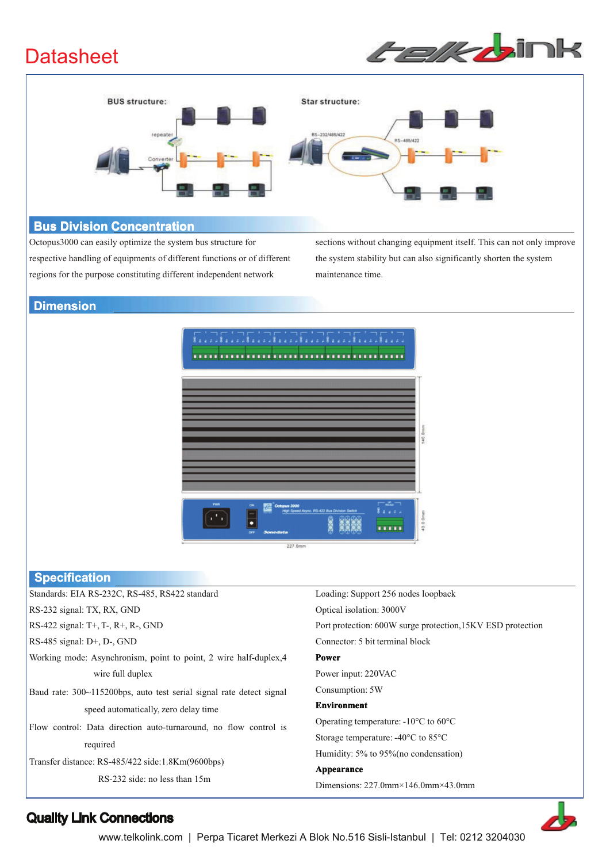## **Datasheet**





#### **Bus Division Concentration**

Octopus 3000 can easily optimize the system bus structure for respective handling of equipments of different functions or of different regions for the purpose constituting different independent network

sections without changing equipment itself. This can not only improve the system stability but can also significantly shorten the system maintenance time.

#### **Dimension**



#### Specification

| _______________                                                      |                                                             |
|----------------------------------------------------------------------|-------------------------------------------------------------|
| Standards: EIA RS-232C, RS-485, RS422 standard                       | Loading: Support 256 nodes loopback                         |
| RS-232 signal: TX, RX, GND                                           | Optical isolation: 3000V                                    |
| RS-422 signal: T+, T-, R+, R-, GND                                   | Port protection: 600W surge protection, 15KV ESD protection |
| RS-485 signal: $D+$ , $Dz$ , GND                                     | Connector: 5 bit terminal block                             |
| Working mode: Asynchronism, point to point, 2 wire half-duplex, 4    | <b>Power</b>                                                |
| wire full duplex                                                     | Power input: 220VAC                                         |
| Baud rate: 300~115200bps, auto test serial signal rate detect signal | Consumption: 5W                                             |
| speed automatically, zero delay time                                 | <b>Environment</b>                                          |
| Flow control: Data direction auto-turnaround, no flow control is     | Operating temperature: $-10^{\circ}$ C to 60 $^{\circ}$ C   |
| required                                                             | Storage temperature: $-40^{\circ}$ C to 85 $^{\circ}$ C     |
|                                                                      | Humidity: 5% to 95% (no condensation)                       |
| Transfer distance: RS-485/422 side:1.8Km(9600bps)                    | Appearance                                                  |
| RS-232 side: no less than 15m                                        | Dimensions: $227.0$ mm $\times$ 146.0mm $\times$ 43.0mm     |



### **Quality Link Connections**